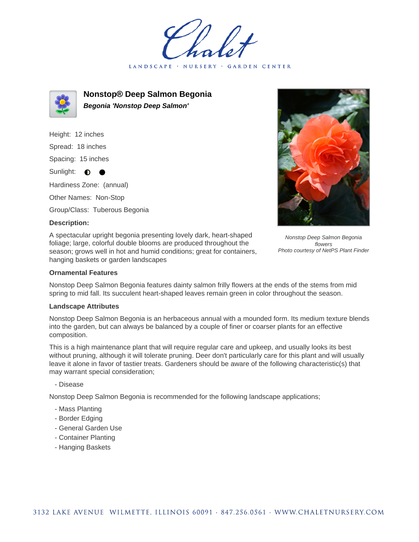LANDSCAPE · NURSERY **GARDEN CENTER** 



**Nonstop® Deep Salmon Begonia Begonia 'Nonstop Deep Salmon'**

Height: 12 inches Spread: 18 inches Spacing: 15 inches Sunlight:  $\bullet$ Hardiness Zone: (annual) Other Names: Non-Stop Group/Class: Tuberous Begonia

### **Description:**

A spectacular upright begonia presenting lovely dark, heart-shaped foliage; large, colorful double blooms are produced throughout the season; grows well in hot and humid conditions; great for containers, hanging baskets or garden landscapes

Nonstop Deep Salmon Begonia flowers Photo courtesy of NetPS Plant Finder

# **Ornamental Features**

Nonstop Deep Salmon Begonia features dainty salmon frilly flowers at the ends of the stems from mid spring to mid fall. Its succulent heart-shaped leaves remain green in color throughout the season.

#### **Landscape Attributes**

Nonstop Deep Salmon Begonia is an herbaceous annual with a mounded form. Its medium texture blends into the garden, but can always be balanced by a couple of finer or coarser plants for an effective composition.

This is a high maintenance plant that will require regular care and upkeep, and usually looks its best without pruning, although it will tolerate pruning. Deer don't particularly care for this plant and will usually leave it alone in favor of tastier treats. Gardeners should be aware of the following characteristic(s) that may warrant special consideration;

- Disease

Nonstop Deep Salmon Begonia is recommended for the following landscape applications;

- Mass Planting
- Border Edging
- General Garden Use
- Container Planting
- Hanging Baskets